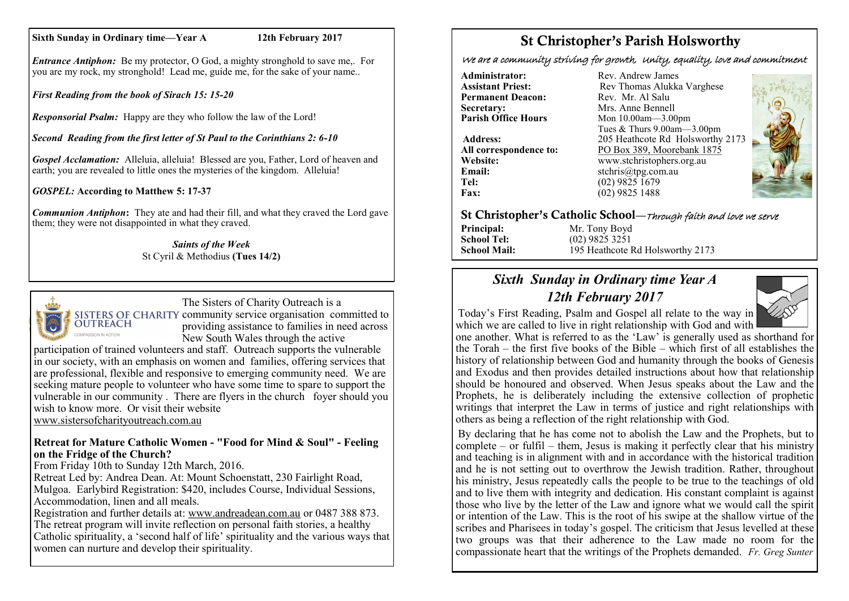#### **Sixth Sunday in Ordinary time—Year A 12th February 2017**

*Entrance Antiphon:* Be my protector, O God, a mighty stronghold to save me,. For you are my rock, my stronghold! Lead me, guide me, for the sake of your name..

*First Reading from the book of Sirach 15: 15-20*

*Responsorial Psalm:* Happy are they who follow the law of the Lord!

*Second Reading from the first letter of St Paul to the Corinthians 2: 6-10*

*Gospel Acclamation:* Alleluia, alleluia! Blessed are you, Father, Lord of heaven and earth; you are revealed to little ones the mysteries of the kingdom. Alleluia!

*GOSPEL:* **According to Matthew 5: 17-37**

*Communion Antiphon***:** They ate and had their fill, and what they craved the Lord gave them; they were not disappointed in what they craved.

> *Saints of the Week* St Cyril & Methodius **(Tues 14/2)**



The Sisters of Charity Outreach is a SISTERS OF CHARITY community service organisation committed to<br>OUTREACH moviding assistance to familias in need corpor providing assistance to families in need across New South Wales through the active

participation of trained volunteers and staff. Outreach supports the vulnerable in our society, with an emphasis on women and families, offering services that are professional, flexible and responsive to emerging community need. We are seeking mature people to volunteer who have some time to spare to support the vulnerable in our community . There are flyers in the church foyer should you wish to know more. Or visit their website [www.sistersofcharityoutreach.com.au](http://www.sistersofcharityoutreach.com.au/)

**Retreat for Mature Catholic Women - "Food for Mind & Soul" - Feeling on the Fridge of the Church?**

From Friday 10th to Sunday 12th March, 2016.

Retreat Led by: Andrea Dean. At: Mount Schoenstatt, 230 Fairlight Road, Mulgoa. Earlybird Registration: \$420, includes Course, Individual Sessions, Accommodation, linen and all meals.

Registration and further details at: [www.andreadean.com.au](http://www.andreadean.com.au) or 0487 388 873. The retreat program will invite reflection on personal faith stories, a healthy Catholic spirituality, a 'second half of life' spirituality and the various ways that women can nurture and develop their spirituality.

# St Christopher's Parish Holsworthy

We are a community striving for growth, Unity, equality, love and commitment

**Administrator:** Rev. Andrew James<br> **Assistant Priest:** Rev. Thomas Alukka **Permanent Deacon:**<br>Secretary: **Secretary:** Mrs. Anne Bennell<br> **Parish Office Hours** Mon 10.00am - 3.00

**Email:** stchris@tpg.com.au<br> **Tel:** (02) 9825 1679 **Tel:** (02) 9825 1679<br>**Fax:** (02) 9825 1488

Rev Thomas Alukka Varghese<br>Rev. Mr. Al Salu **Mon 10.00am—3.00pm** Tues & Thurs 9.00am—3.00pm **Address:** 205 Heathcote Rd Holsworthy 2173 **All correspondence to:** PO Box 389, Moorebank 1875 **Website:** www.stchristophers.org.au<br> **Email:** stchris@tng.com au **Fax:** (02) 9825 1488



#### St Christopher's Catholic School—Through faith and love we serve

**Principal:** Mr. Tony Boyd **School Tel:** (02) 9825 3251 **School Mail:** 195 Heathcote Rd Holsworthy 2173

# *Sixth Sunday in Ordinary time Year A 12th February 2017*



Today's First Reading, Psalm and Gospel all relate to the way in which we are called to live in right relationship with God and with

one another. What is referred to as the 'Law' is generally used as shorthand for the Torah – the first five books of the Bible – which first of all establishes the history of relationship between God and humanity through the books of Genesis and Exodus and then provides detailed instructions about how that relationship should be honoured and observed. When Jesus speaks about the Law and the Prophets, he is deliberately including the extensive collection of prophetic writings that interpret the Law in terms of justice and right relationships with others as being a reflection of the right relationship with God.

By declaring that he has come not to abolish the Law and the Prophets, but to  $complete - or full - them, Jesus is making it perfectly clear that his ministry.$ and teaching is in alignment with and in accordance with the historical tradition and he is not setting out to overthrow the Jewish tradition. Rather, throughout his ministry, Jesus repeatedly calls the people to be true to the teachings of old and to live them with integrity and dedication. His constant complaint is against those who live by the letter of the Law and ignore what we would call the spirit or intention of the Law. This is the root of his swipe at the shallow virtue of the scribes and Pharisees in today's gospel. The criticism that Jesus levelled at these two groups was that their adherence to the Law made no room for the compassionate heart that the writings of the Prophets demanded. *Fr. Greg Sunter*